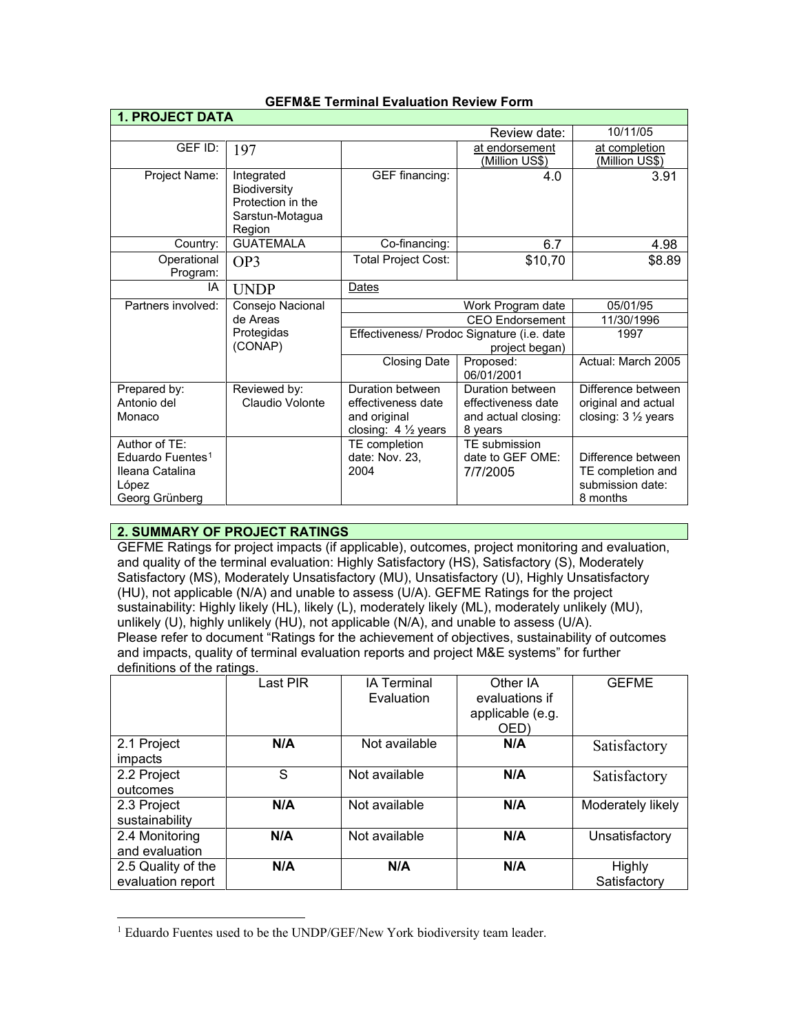| <b>1. PROJECT DATA</b>                                                                      |                                                                              |                                                                                |                                                                          |                                                                         |  |
|---------------------------------------------------------------------------------------------|------------------------------------------------------------------------------|--------------------------------------------------------------------------------|--------------------------------------------------------------------------|-------------------------------------------------------------------------|--|
|                                                                                             | Review date:                                                                 |                                                                                |                                                                          |                                                                         |  |
| GEF ID:                                                                                     | 197                                                                          |                                                                                | at endorsement<br><u>(Million US\$)</u>                                  | at completion<br>(Million US\$)                                         |  |
| Project Name:                                                                               | Integrated<br>Biodiversity<br>Protection in the<br>Sarstun-Motagua<br>Region | GEF financing:                                                                 | 4.0                                                                      | 3.91                                                                    |  |
| Country:                                                                                    | <b>GUATEMALA</b>                                                             | Co-financing:                                                                  | 6.7                                                                      | 4.98                                                                    |  |
| Operational<br>Program:                                                                     | OP3                                                                          | Total Project Cost:                                                            | \$10,70                                                                  | \$8.89                                                                  |  |
| IA                                                                                          | <b>UNDP</b>                                                                  | Dates                                                                          |                                                                          |                                                                         |  |
| Partners involved:                                                                          | Consejo Nacional                                                             | Work Program date                                                              |                                                                          | 05/01/95                                                                |  |
|                                                                                             | de Areas                                                                     | <b>CEO Endorsement</b>                                                         |                                                                          | 11/30/1996                                                              |  |
|                                                                                             | Protegidas<br>(CONAP)                                                        | Effectiveness/ Prodoc Signature (i.e. date<br>project began)                   |                                                                          | 1997                                                                    |  |
|                                                                                             |                                                                              | <b>Closing Date</b>                                                            | Proposed:<br>06/01/2001                                                  | Actual: March 2005                                                      |  |
| Prepared by:<br>Antonio del<br>Monaco                                                       | Reviewed by:<br>Claudio Volonte                                              | Duration between<br>effectiveness date<br>and original<br>closing: 4 1/2 years | Duration between<br>effectiveness date<br>and actual closing:<br>8 years | Difference between<br>original and actual<br>closing: 3 1/2 years       |  |
| Author of TE:<br>Eduardo Fuentes <sup>1</sup><br>Ileana Catalina<br>López<br>Georg Grünberg |                                                                              | TE completion<br>date: Nov. 23,<br>2004                                        | TE submission<br>date to GEF OME:<br>7/7/2005                            | Difference between<br>TE completion and<br>submission date:<br>8 months |  |

### **GEFM&E Terminal Evaluation Review Form**

# **2. SUMMARY OF PROJECT RATINGS**

GEFME Ratings for project impacts (if applicable), outcomes, project monitoring and evaluation, and quality of the terminal evaluation: Highly Satisfactory (HS), Satisfactory (S), Moderately Satisfactory (MS), Moderately Unsatisfactory (MU), Unsatisfactory (U), Highly Unsatisfactory (HU), not applicable (N/A) and unable to assess (U/A). GEFME Ratings for the project sustainability: Highly likely (HL), likely (L), moderately likely (ML), moderately unlikely (MU), unlikely (U), highly unlikely (HU), not applicable (N/A), and unable to assess (U/A). Please refer to document "Ratings for the achievement of objectives, sustainability of outcomes and impacts, quality of terminal evaluation reports and project M&E systems" for further definitions of the ratings.

|                                         | Last PIR | <b>IA Terminal</b><br>Evaluation | Other IA<br>evaluations if<br>applicable (e.g.<br>OED) | <b>GEFME</b>           |
|-----------------------------------------|----------|----------------------------------|--------------------------------------------------------|------------------------|
| 2.1 Project<br>impacts                  | N/A      | Not available                    | N/A                                                    | Satisfactory           |
| 2.2 Project<br>outcomes                 | S        | Not available                    | N/A                                                    | Satisfactory           |
| 2.3 Project<br>sustainability           | N/A      | Not available                    | N/A                                                    | Moderately likely      |
| 2.4 Monitoring<br>and evaluation        | N/A      | Not available                    | N/A                                                    | Unsatisfactory         |
| 2.5 Quality of the<br>evaluation report | N/A      | N/A                              | N/A                                                    | Highly<br>Satisfactory |

<span id="page-0-0"></span> $\overline{a}$ <sup>1</sup> Eduardo Fuentes used to be the UNDP/GEF/New York biodiversity team leader.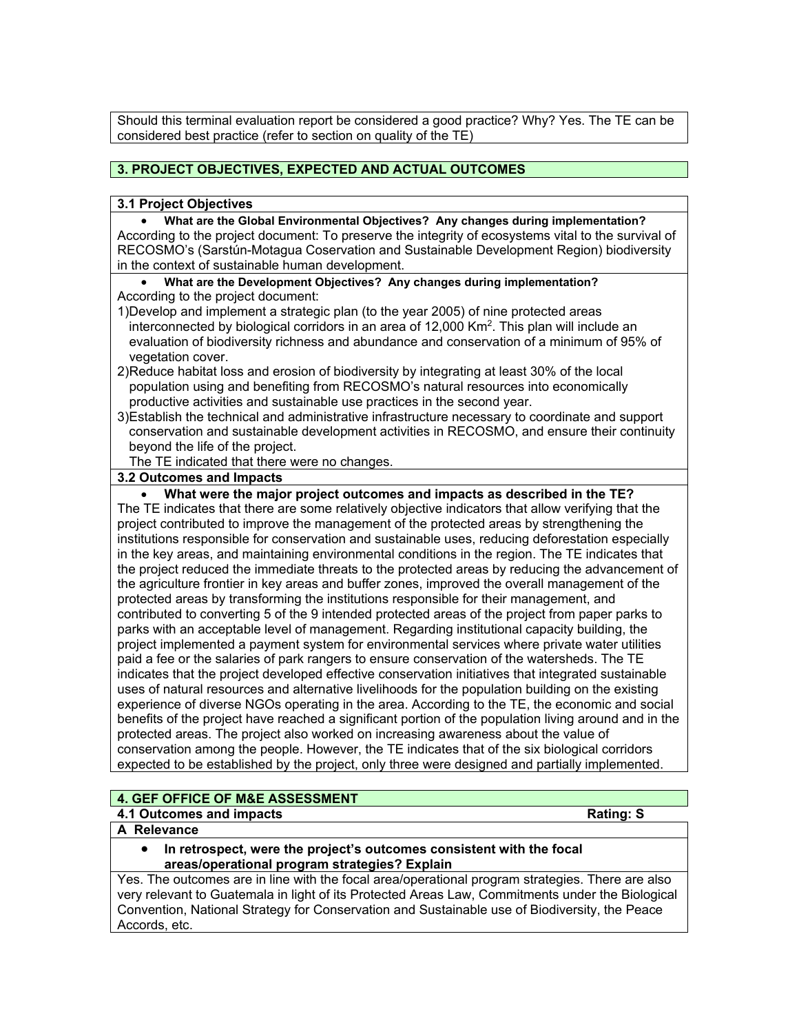Should this terminal evaluation report be considered a good practice? Why? Yes. The TE can be considered best practice (refer to section on quality of the TE)

# **3. PROJECT OBJECTIVES, EXPECTED AND ACTUAL OUTCOMES**

#### **3.1 Project Objectives**

• **What are the Global Environmental Objectives? Any changes during implementation?** According to the project document: To preserve the integrity of ecosystems vital to the survival of RECOSMO's (Sarstún-Motagua Coservation and Sustainable Development Region) biodiversity in the context of sustainable human development.

- **What are the Development Objectives? Any changes during implementation?**
- According to the project document:
- 1)Develop and implement a strategic plan (to the year 2005) of nine protected areas interconnected by biological corridors in an area of 12,000 Km2. This plan will include an evaluation of biodiversity richness and abundance and conservation of a minimum of 95% of vegetation cover.
- 2)Reduce habitat loss and erosion of biodiversity by integrating at least 30% of the local population using and benefiting from RECOSMO's natural resources into economically productive activities and sustainable use practices in the second year.
- 3)Establish the technical and administrative infrastructure necessary to coordinate and support conservation and sustainable development activities in RECOSMO, and ensure their continuity beyond the life of the project.

The TE indicated that there were no changes.

#### **3.2 Outcomes and Impacts**

• **What were the major project outcomes and impacts as described in the TE?**

The TE indicates that there are some relatively objective indicators that allow verifying that the project contributed to improve the management of the protected areas by strengthening the institutions responsible for conservation and sustainable uses, reducing deforestation especially in the key areas, and maintaining environmental conditions in the region. The TE indicates that the project reduced the immediate threats to the protected areas by reducing the advancement of the agriculture frontier in key areas and buffer zones, improved the overall management of the protected areas by transforming the institutions responsible for their management, and contributed to converting 5 of the 9 intended protected areas of the project from paper parks to parks with an acceptable level of management. Regarding institutional capacity building, the project implemented a payment system for environmental services where private water utilities paid a fee or the salaries of park rangers to ensure conservation of the watersheds. The TE indicates that the project developed effective conservation initiatives that integrated sustainable uses of natural resources and alternative livelihoods for the population building on the existing experience of diverse NGOs operating in the area. According to the TE, the economic and social benefits of the project have reached a significant portion of the population living around and in the protected areas. The project also worked on increasing awareness about the value of conservation among the people. However, the TE indicates that of the six biological corridors expected to be established by the project, only three were designed and partially implemented.

# **4. GEF OFFICE OF M&E ASSESSMENT**

#### **4.1 Outcomes and impacts Rating: S**

**A Relevance** 

• **In retrospect, were the project's outcomes consistent with the focal areas/operational program strategies? Explain**

Yes. The outcomes are in line with the focal area/operational program strategies. There are also very relevant to Guatemala in light of its Protected Areas Law, Commitments under the Biological Convention, National Strategy for Conservation and Sustainable use of Biodiversity, the Peace Accords, etc.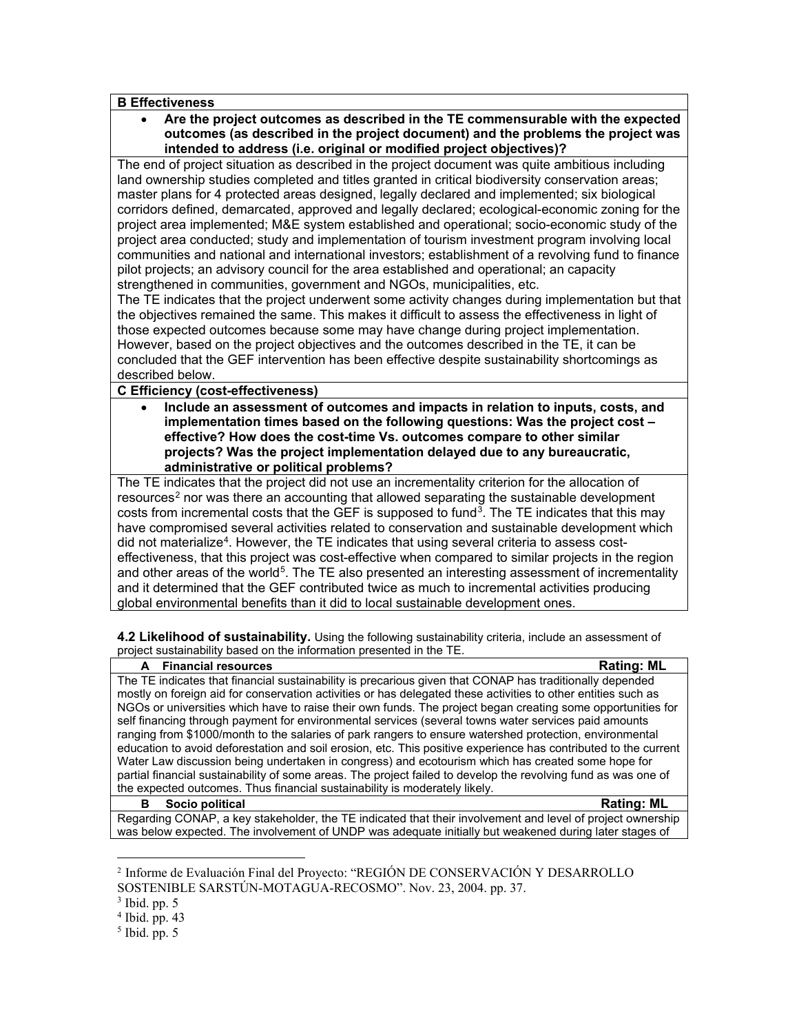#### **B Effectiveness**

• **Are the project outcomes as described in the TE commensurable with the expected outcomes (as described in the project document) and the problems the project was intended to address (i.e. original or modified project objectives)?** 

The end of project situation as described in the project document was quite ambitious including land ownership studies completed and titles granted in critical biodiversity conservation areas; master plans for 4 protected areas designed, legally declared and implemented; six biological corridors defined, demarcated, approved and legally declared; ecological-economic zoning for the project area implemented; M&E system established and operational; socio-economic study of the project area conducted; study and implementation of tourism investment program involving local communities and national and international investors; establishment of a revolving fund to finance pilot projects; an advisory council for the area established and operational; an capacity strengthened in communities, government and NGOs, municipalities, etc.

The TE indicates that the project underwent some activity changes during implementation but that the objectives remained the same. This makes it difficult to assess the effectiveness in light of those expected outcomes because some may have change during project implementation. However, based on the project objectives and the outcomes described in the TE, it can be concluded that the GEF intervention has been effective despite sustainability shortcomings as described below.

### **C Efficiency (cost-effectiveness)**

• **Include an assessment of outcomes and impacts in relation to inputs, costs, and implementation times based on the following questions: Was the project cost – effective? How does the cost-time Vs. outcomes compare to other similar projects? Was the project implementation delayed due to any bureaucratic, administrative or political problems?**

The TE indicates that the project did not use an incrementality criterion for the allocation of resources<sup>[2](#page-2-0)</sup> nor was there an accounting that allowed separating the sustainable development costs from incremental costs that the GEF is supposed to fund<sup>3</sup>. The TE indicates that this may have compromised several activities related to conservation and sustainable development which did not materialize<sup>[4](#page-2-2)</sup>. However, the TE indicates that using several criteria to assess costeffectiveness, that this project was cost-effective when compared to similar projects in the region and other areas of the world<sup>5</sup>. The TE also presented an interesting assessment of incrementality and it determined that the GEF contributed twice as much to incremental activities producing global environmental benefits than it did to local sustainable development ones.

**4.2 Likelihood of sustainability.** Using the following sustainability criteria, include an assessment of project sustainability based on the information presented in the TE.

| A Financial resources                                                                                           | <b>Rating: ML</b> |  |
|-----------------------------------------------------------------------------------------------------------------|-------------------|--|
| The TE indicates that financial sustainability is precarious given that CONAP has traditionally depended        |                   |  |
| mostly on foreign aid for conservation activities or has delegated these activities to other entities such as   |                   |  |
| NGOs or universities which have to raise their own funds. The project began creating some opportunities for     |                   |  |
| self financing through payment for environmental services (several towns water services paid amounts            |                   |  |
| ranging from \$1000/month to the salaries of park rangers to ensure watershed protection, environmental         |                   |  |
| education to avoid deforestation and soil erosion, etc. This positive experience has contributed to the current |                   |  |
| Water Law discussion being undertaken in congress) and ecotourism which has created some hope for               |                   |  |
| partial financial sustainability of some areas. The project failed to develop the revolving fund as was one of  |                   |  |
| the expected outcomes. Thus financial sustainability is moderately likely.                                      |                   |  |
| Socio political<br>в                                                                                            | <b>Rating: ML</b> |  |

Regarding CONAP, a key stakeholder, the TE indicated that their involvement and level of project ownership was below expected. The involvement of UNDP was adequate initially but weakened during later stages of

 $\overline{a}$ 

<span id="page-2-0"></span><sup>2</sup> Informe de Evaluación Final del Proyecto: "REGIÓN DE CONSERVACIÓN Y DESARROLLO SOSTENIBLE SARSTÚN-MOTAGUA-RECOSMO". Nov. 23, 2004. pp. 37.

<span id="page-2-1"></span> $3$  Ibid. pp.  $5$ 

<span id="page-2-2"></span> $4$  Ibid. pp. 43

<span id="page-2-3"></span> $<sup>5</sup>$  Ibid. pp. 5</sup>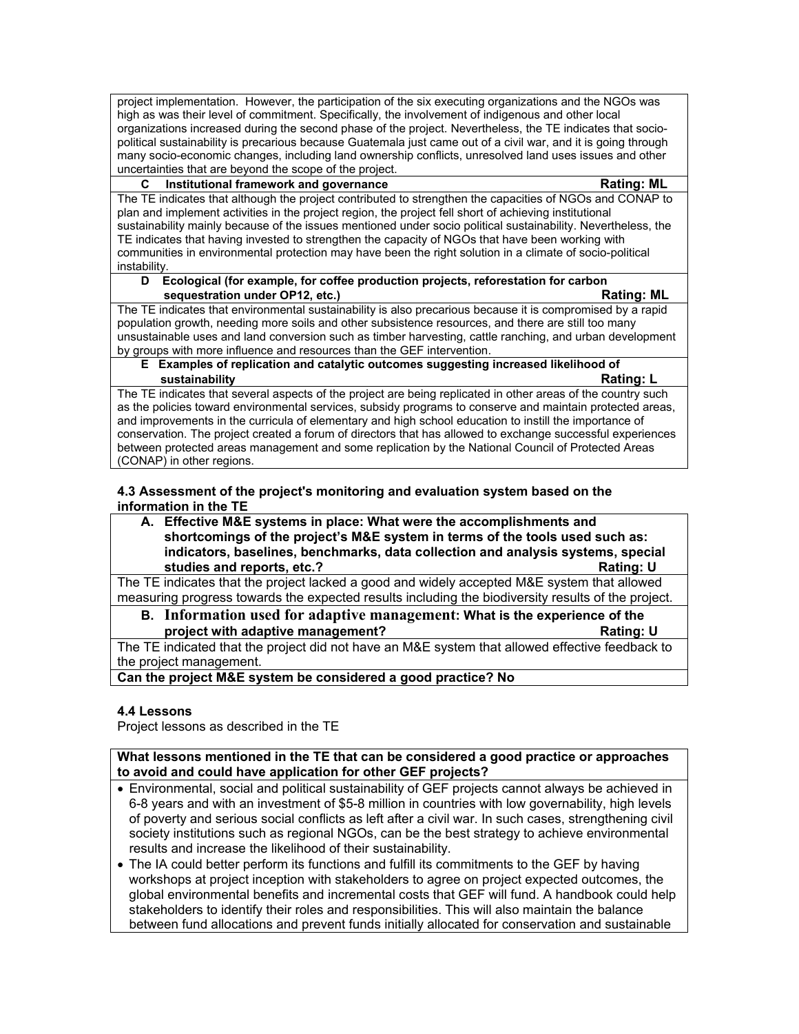project implementation. However, the participation of the six executing organizations and the NGOs was high as was their level of commitment. Specifically, the involvement of indigenous and other local organizations increased during the second phase of the project. Nevertheless, the TE indicates that sociopolitical sustainability is precarious because Guatemala just came out of a civil war, and it is going through many socio-economic changes, including land ownership conflicts, unresolved land uses issues and other uncertainties that are beyond the scope of the project.

#### **C Institutional framework and governance Rating: ML**

The TE indicates that although the project contributed to strengthen the capacities of NGOs and CONAP to plan and implement activities in the project region, the project fell short of achieving institutional sustainability mainly because of the issues mentioned under socio political sustainability. Nevertheless, the TE indicates that having invested to strengthen the capacity of NGOs that have been working with communities in environmental protection may have been the right solution in a climate of socio-political instability.

#### **D Ecological (for example, for coffee production projects, reforestation for carbon Rating: ML** sequestration under OP12, etc.) **Rating: ML**

The TE indicates that environmental sustainability is also precarious because it is compromised by a rapid population growth, needing more soils and other subsistence resources, and there are still too many unsustainable uses and land conversion such as timber harvesting, cattle ranching, and urban development by groups with more influence and resources than the GEF intervention.

**E Examples of replication and catalytic outcomes suggesting increased likelihood of sustainability Rating: L**

The TE indicates that several aspects of the project are being replicated in other areas of the country such as the policies toward environmental services, subsidy programs to conserve and maintain protected areas, and improvements in the curricula of elementary and high school education to instill the importance of conservation. The project created a forum of directors that has allowed to exchange successful experiences between protected areas management and some replication by the National Council of Protected Areas (CONAP) in other regions.

#### **4.3 Assessment of the project's monitoring and evaluation system based on the information in the TE**

**A. Effective M&E systems in place: What were the accomplishments and shortcomings of the project's M&E system in terms of the tools used such as: indicators, baselines, benchmarks, data collection and analysis systems, special studies and reports, etc.? Rating: U**

The TE indicates that the project lacked a good and widely accepted M&E system that allowed measuring progress towards the expected results including the biodiversity results of the project.

**B. Information used for adaptive management: What is the experience of the project with adaptive management?** 

The TE indicated that the project did not have an M&E system that allowed effective feedback to the project management.

**Can the project M&E system be considered a good practice? No**

# **4.4 Lessons**

Project lessons as described in the TE

**What lessons mentioned in the TE that can be considered a good practice or approaches to avoid and could have application for other GEF projects?**

- Environmental, social and political sustainability of GEF projects cannot always be achieved in 6-8 years and with an investment of \$5-8 million in countries with low governability, high levels of poverty and serious social conflicts as left after a civil war. In such cases, strengthening civil society institutions such as regional NGOs, can be the best strategy to achieve environmental results and increase the likelihood of their sustainability.
- The IA could better perform its functions and fulfill its commitments to the GEF by having workshops at project inception with stakeholders to agree on project expected outcomes, the global environmental benefits and incremental costs that GEF will fund. A handbook could help stakeholders to identify their roles and responsibilities. This will also maintain the balance between fund allocations and prevent funds initially allocated for conservation and sustainable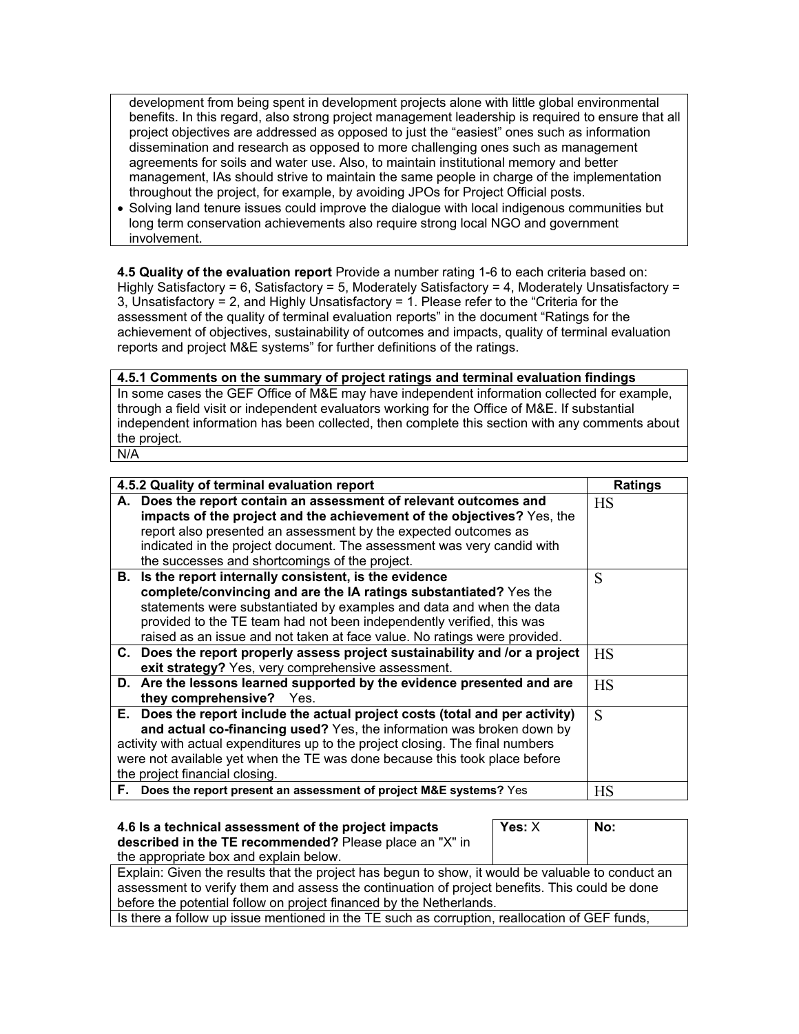development from being spent in development projects alone with little global environmental benefits. In this regard, also strong project management leadership is required to ensure that all project objectives are addressed as opposed to just the "easiest" ones such as information dissemination and research as opposed to more challenging ones such as management agreements for soils and water use. Also, to maintain institutional memory and better management, IAs should strive to maintain the same people in charge of the implementation throughout the project, for example, by avoiding JPOs for Project Official posts.

• Solving land tenure issues could improve the dialogue with local indigenous communities but long term conservation achievements also require strong local NGO and government involvement.

**4.5 Quality of the evaluation report** Provide a number rating 1-6 to each criteria based on: Highly Satisfactory = 6, Satisfactory = 5, Moderately Satisfactory = 4, Moderately Unsatisfactory = 3, Unsatisfactory = 2, and Highly Unsatisfactory = 1. Please refer to the "Criteria for the assessment of the quality of terminal evaluation reports" in the document "Ratings for the achievement of objectives, sustainability of outcomes and impacts, quality of terminal evaluation reports and project M&E systems" for further definitions of the ratings.

# **4.5.1 Comments on the summary of project ratings and terminal evaluation findings**

In some cases the GEF Office of M&E may have independent information collected for example, through a field visit or independent evaluators working for the Office of M&E. If substantial independent information has been collected, then complete this section with any comments about the project. N/A

|                                                                                | 4.5.2 Quality of terminal evaluation report                                  |           |
|--------------------------------------------------------------------------------|------------------------------------------------------------------------------|-----------|
|                                                                                | <b>Ratings</b>                                                               |           |
|                                                                                | A. Does the report contain an assessment of relevant outcomes and            | <b>HS</b> |
|                                                                                | impacts of the project and the achievement of the objectives? Yes, the       |           |
|                                                                                | report also presented an assessment by the expected outcomes as              |           |
|                                                                                | indicated in the project document. The assessment was very candid with       |           |
|                                                                                | the successes and shortcomings of the project.                               |           |
|                                                                                | B. Is the report internally consistent, is the evidence                      | S         |
|                                                                                | complete/convincing and are the IA ratings substantiated? Yes the            |           |
|                                                                                | statements were substantiated by examples and data and when the data         |           |
|                                                                                | provided to the TE team had not been independently verified, this was        |           |
|                                                                                | raised as an issue and not taken at face value. No ratings were provided.    |           |
|                                                                                | C. Does the report properly assess project sustainability and /or a project  | <b>HS</b> |
|                                                                                | exit strategy? Yes, very comprehensive assessment.                           |           |
|                                                                                | D. Are the lessons learned supported by the evidence presented and are       | <b>HS</b> |
|                                                                                | they comprehensive? Yes.                                                     |           |
|                                                                                | E. Does the report include the actual project costs (total and per activity) | S         |
|                                                                                | and actual co-financing used? Yes, the information was broken down by        |           |
| activity with actual expenditures up to the project closing. The final numbers |                                                                              |           |
| were not available yet when the TE was done because this took place before     |                                                                              |           |
| the project financial closing.                                                 |                                                                              |           |
| F. Does the report present an assessment of project M&E systems? Yes           | НS                                                                           |           |

| 4.6 Is a technical assessment of the project impacts                                              | Yes: $X$ | No: |
|---------------------------------------------------------------------------------------------------|----------|-----|
| described in the TE recommended? Please place an "X" in                                           |          |     |
| the appropriate box and explain below.                                                            |          |     |
| Explain: Given the results that the project has begun to show, it would be valuable to conduct an |          |     |
| assessment to verify them and assess the continuation of project benefits. This could be done     |          |     |
| before the potential follow on project financed by the Netherlands.                               |          |     |
| Is there a follow up issue mentioned in the TE such as corruption, reallocation of GEF funds,     |          |     |